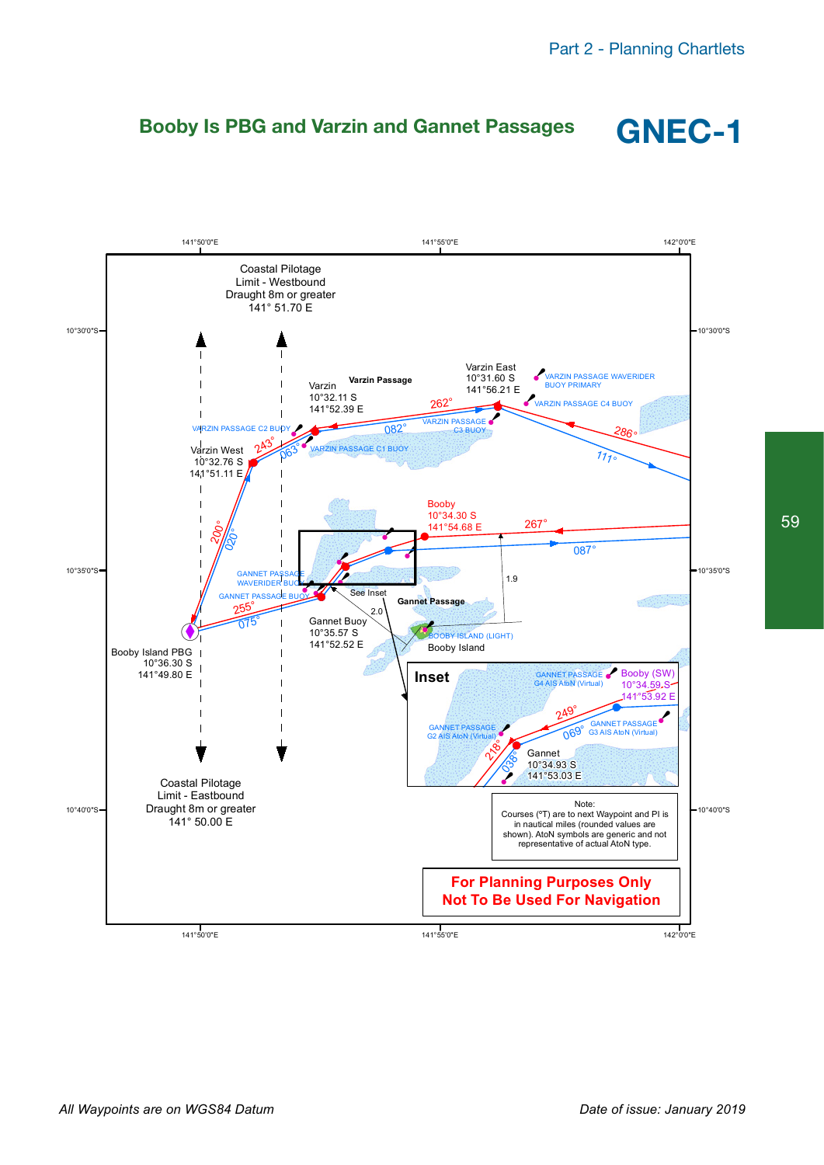### **Booby Is PBG and Varzin and Gannet Passages GNEC-1**





59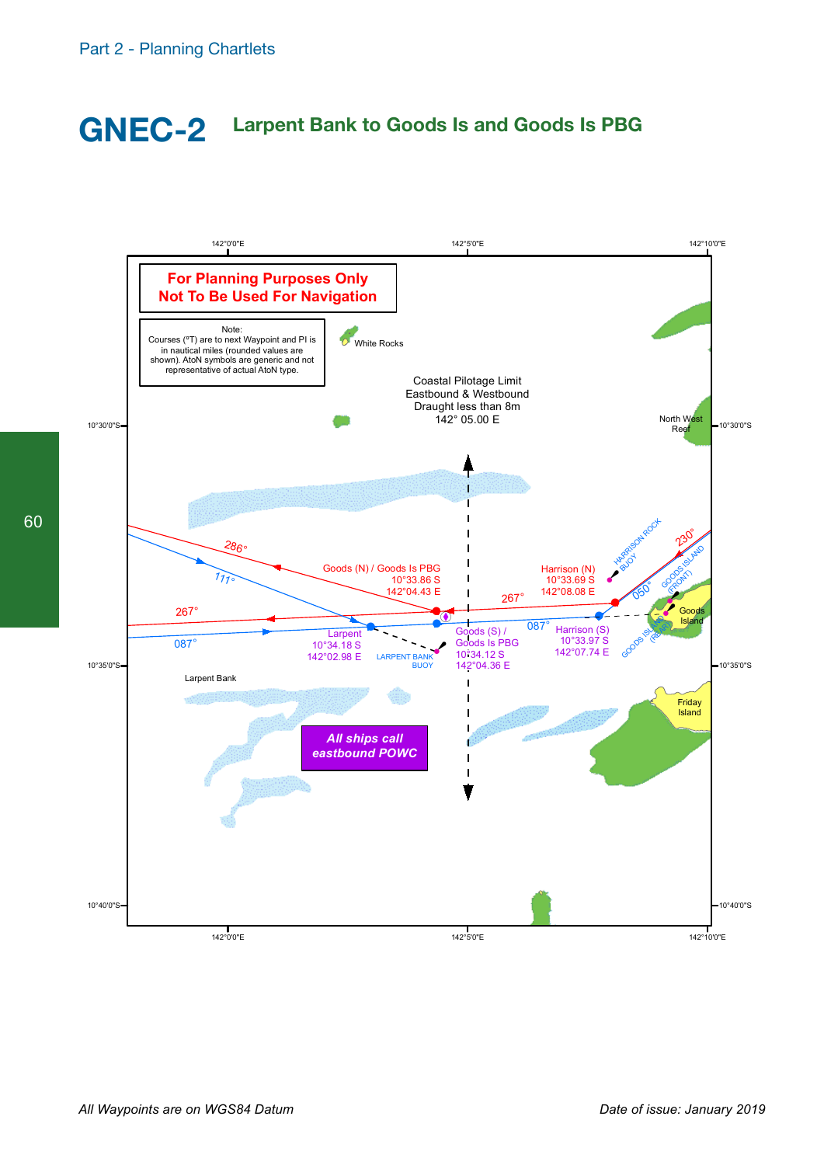# **GNEC-2 Larpent Bank to Goods Is and Goods Is PBG**

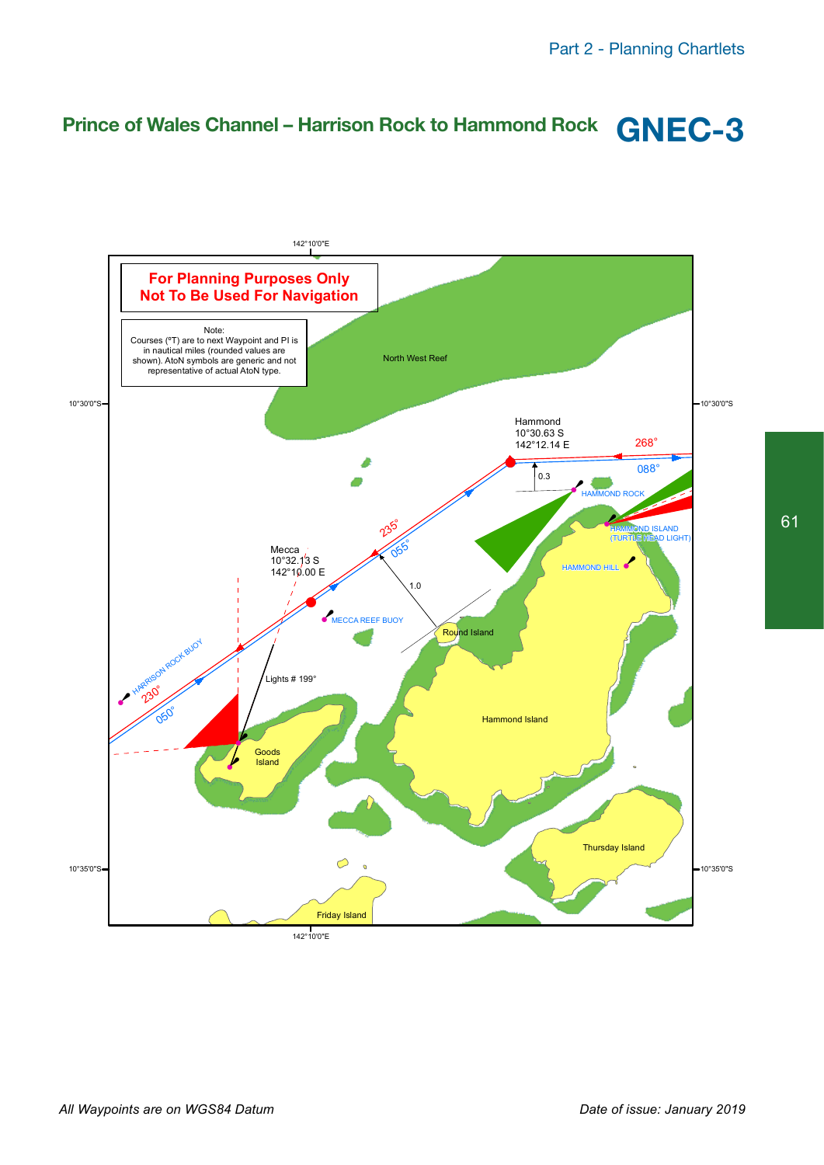# **Prince of Wales Channel – Harrison Rock to Hammond Rock GNEC-3**

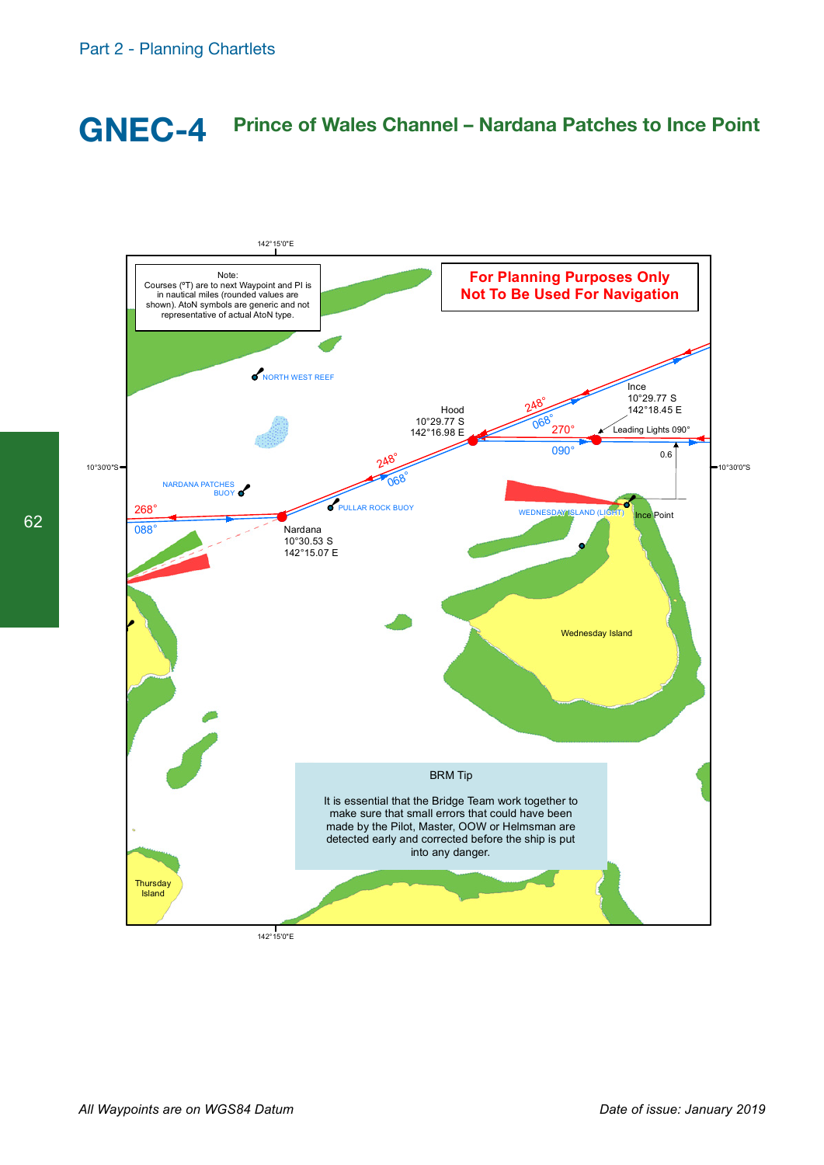## **GNEC-4 Prince of Wales Channel – Nardana Patches to Ince Point**



62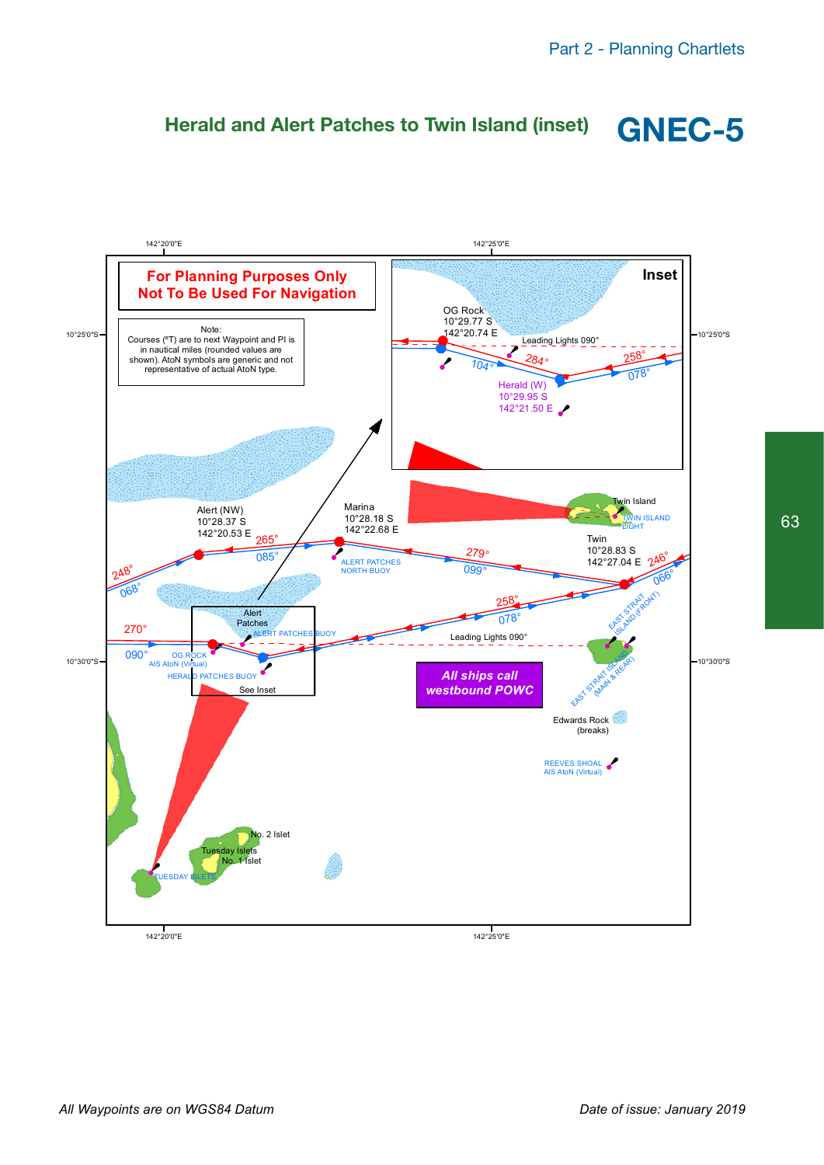

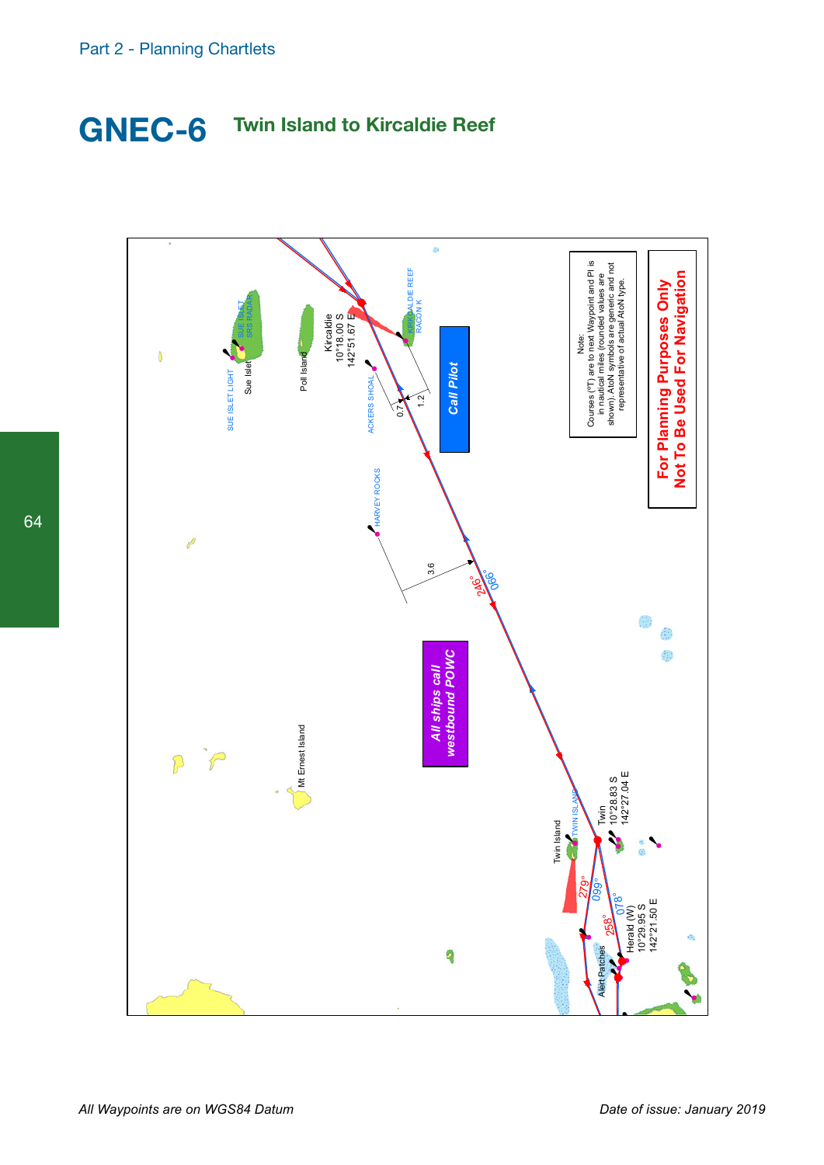## **GNEC-6 Twin Island to Kircaldie Reef**

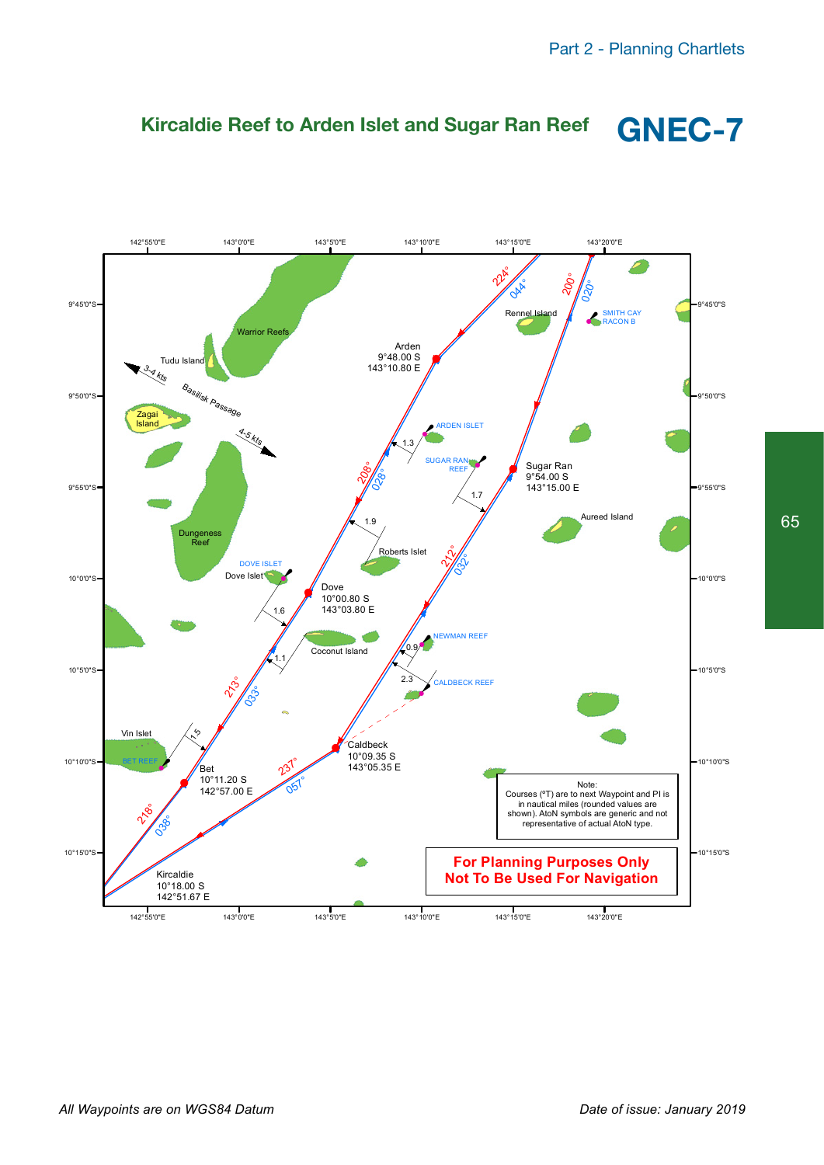

### **Kircaldie Reef to Arden Islet and Sugar Ran Reef GNEC-7**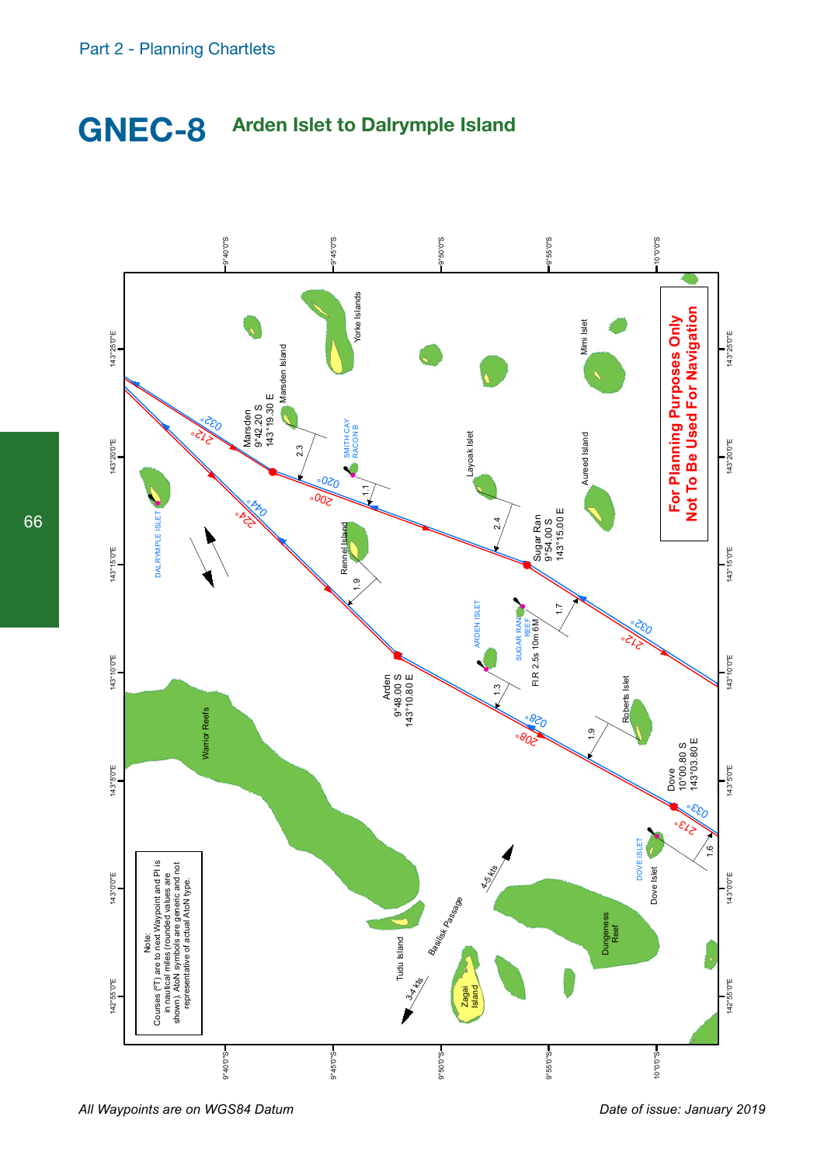



*All Waypoints are on WGS84 Datum*

*Date of issue: January 2019*